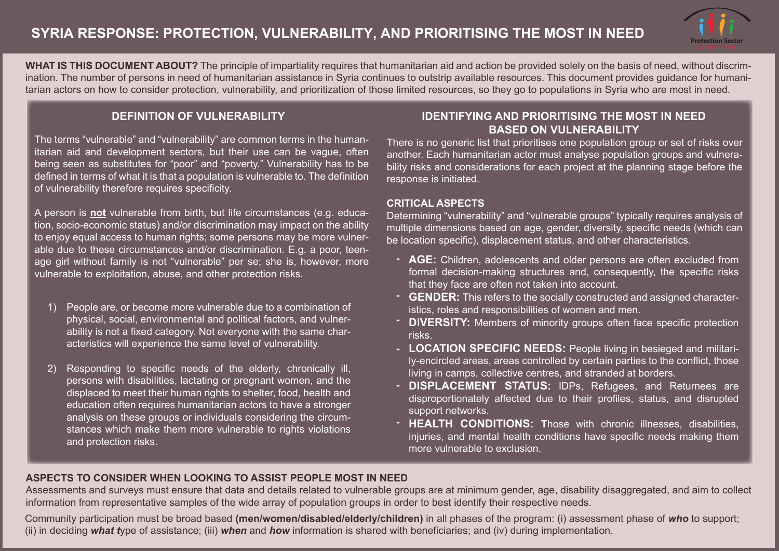

**WHAT IS THIS DOCUMENT ABOUT?** The principle of impartiality requires that humanitarian aid and action be provided solely on the basis of need, without discrimination. The number of persons in need of humanitarian assistance in Syria continues to outstrip available resources. This document provides guidance for humanitarian actors on how to consider protection, vulnerability, and prioritization of those limited resources, so they go to populations in Syria who are most in need.

#### **DEFINITION OF VULNERABILITY**

The terms "vulnerable" and "vulnerability" are common terms in the humanitarian aid and development sectors, but their use can be vague, often being seen as substitutes for "poor" and "poverty." Vulnerability has to be defined in terms of what it is that a population is vulnerable to. The definition of vulnerability therefore requires specificity.

A person is **not** vulnerable from birth, but life circumstances (e.g. education, socio-economic status) and/or discrimination may impact on the ability to enjoy equal access to human rights; some persons may be more vulnerable due to these circumstances and/or discrimination. E.g. a poor, teenage girl without family is not "vulnerable" per se; she is, however, more vulnerable to exploitation, abuse, and other protection risks.

- People are, or become more vulnerable due to a combination of 1) physical, social, environmental and political factors, and vulnerability is not a fixed category. Not everyone with the same characteristics will experience the same level of vulnerability.
- Responding to specific needs of the elderly, chronically ill, persons with disabilities, lactating or pregnant women, and the displaced to meet their human rights to shelter, food, health and education often requires humanitarian actors to have a stronger analysis on these groups or individuals considering the circumstances which make them more vulnerable to rights violations and protection risks. 2)

#### **IDENTIFYING AND PRIORITISING THE MOST IN NEED BASED ON VULNERABILITY**

There is no generic list that prioritises one population group or set of risks over another. Each humanitarian actor must analyse population groups and vulnerability risks and considerations for each project at the planning stage before the response is initiated.

#### **CRITICAL ASPECTS**

Determining "vulnerability" and "vulnerable groups" typically requires analysis of multiple dimensions based on age, gender, diversity, specific needs (which can be location specific), displacement status, and other characteristics.

- **AGE:** Children, adolescents and older persons are often excluded from  formal decision-making structures and, consequently, the specific risks that they face are often not taken into account.
- **GENDER:** This refers to the socially constructed and assigned character- istics, roles and responsibilities of women and men.
- **D**I**VERSITY:** Members of minority groups often face specific protection  risks.
- **LOCATION SPECIFIC NEEDS:** People living in besieged and militari- ly-encircled areas, areas controlled by certain parties to the conflict, those living in camps, collective centres, and stranded at borders.
- **DISPLACEMENT STATUS:** IDPs, Refugees, and Returnees are  disproportionately affected due to their profiles, status, and disrupted support networks.
- **HEALTH CONDITIONS: T**hose with chronic illnesses, disabilities,  injuries, and mental health conditions have specific needs making them more vulnerable to exclusion.

#### **ASPECTS TO CONSIDER WHEN LOOKING TO ASSIST PEOPLE MOST IN NEED**

Assessments and surveys must ensure that data and details related to vulnerable groups are at minimum gender, age, disability disaggregated, and aim to collect information from representative samples of the wide array of population groups in order to best identify their respective needs.

Community participation must be broad based **(men/women/disabled/elderly/children)** in all phases of the program: (i) assessment phase of *who* to support; (ii) in deciding *what t*ype of assistance; (iii) *when* and *how* information is shared with beneficiaries; and (iv) during implementation.